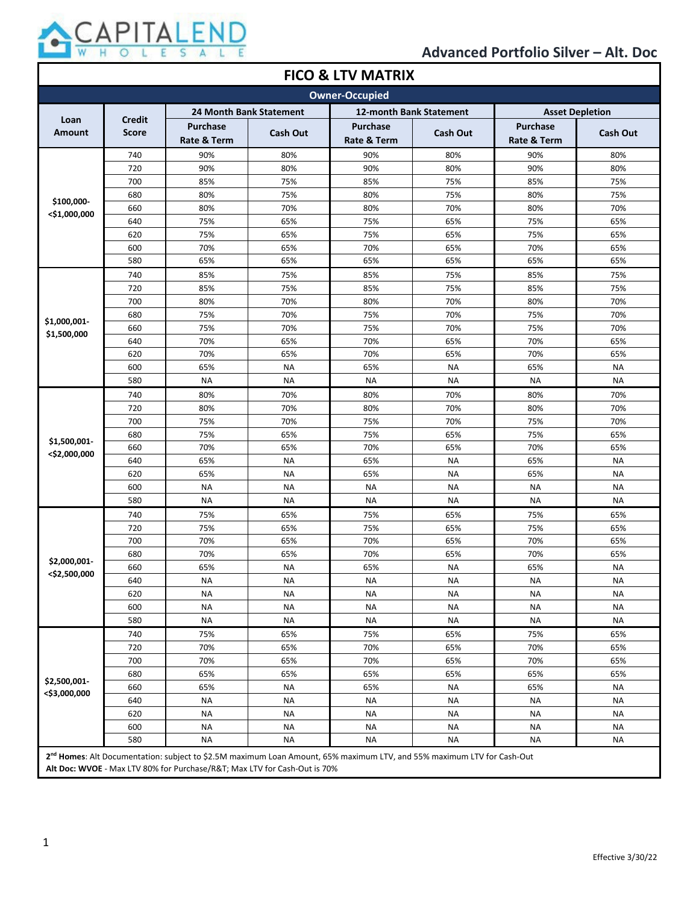

| <b>FICO &amp; LTV MATRIX</b> |                                                                                                                                    |                                           |                        |                                |                        |                                |                        |
|------------------------------|------------------------------------------------------------------------------------------------------------------------------------|-------------------------------------------|------------------------|--------------------------------|------------------------|--------------------------------|------------------------|
| <b>Owner-Occupied</b>        |                                                                                                                                    |                                           |                        |                                |                        |                                |                        |
|                              | <b>24 Month Bank Statement</b><br>12-month Bank Statement                                                                          |                                           |                        |                                | <b>Asset Depletion</b> |                                |                        |
| Loan<br><b>Amount</b>        | <b>Credit</b><br><b>Score</b>                                                                                                      | <b>Purchase</b><br><b>Rate &amp; Term</b> | <b>Cash Out</b>        | <b>Purchase</b><br>Rate & Term | <b>Cash Out</b>        | <b>Purchase</b><br>Rate & Term | Cash Out               |
|                              |                                                                                                                                    | 90%                                       | 80%                    |                                |                        |                                |                        |
|                              | 740<br>720                                                                                                                         | 90%                                       | 80%                    | 90%<br>90%                     | 80%<br>80%             | 90%<br>90%                     | 80%<br>80%             |
|                              | 700                                                                                                                                | 85%                                       | 75%                    | 85%                            | 75%                    | 85%                            | 75%                    |
|                              | 680                                                                                                                                | 80%                                       | 75%                    | 80%                            | 75%                    | 80%                            | 75%                    |
| \$100,000-                   | 660                                                                                                                                | 80%                                       | 70%                    | 80%                            | 70%                    | 80%                            | 70%                    |
| <\$1,000,000                 | 640                                                                                                                                | 75%                                       | 65%                    | 75%                            | 65%                    | 75%                            | 65%                    |
|                              | 620                                                                                                                                | 75%                                       | 65%                    | 75%                            | 65%                    | 75%                            | 65%                    |
|                              | 600                                                                                                                                | 70%                                       | 65%                    | 70%                            | 65%                    | 70%                            | 65%                    |
|                              | 580                                                                                                                                | 65%                                       | 65%                    | 65%                            | 65%                    | 65%                            | 65%                    |
|                              |                                                                                                                                    | 85%                                       | 75%                    |                                |                        |                                | 75%                    |
|                              | 740<br>720                                                                                                                         | 85%                                       | 75%                    | 85%<br>85%                     | 75%<br>75%             | 85%                            | 75%                    |
|                              |                                                                                                                                    |                                           |                        |                                |                        | 85%                            |                        |
|                              | 700<br>680                                                                                                                         | 80%<br>75%                                | 70%<br>70%             | 80%<br>75%                     | 70%<br>70%             | 80%<br>75%                     | 70%<br>70%             |
| \$1,000,001-                 | 660                                                                                                                                | 75%                                       | 70%                    | 75%                            | 70%                    | 75%                            | 70%                    |
| \$1,500,000                  | 640                                                                                                                                | 70%                                       | 65%                    | 70%                            | 65%                    | 70%                            | 65%                    |
|                              | 620                                                                                                                                | 70%                                       | 65%                    | 70%                            | 65%                    | 70%                            | 65%                    |
|                              | 600                                                                                                                                | 65%                                       | <b>NA</b>              | 65%                            | <b>NA</b>              | 65%                            | <b>NA</b>              |
|                              | 580                                                                                                                                | <b>NA</b>                                 | <b>NA</b>              | <b>NA</b>                      | <b>NA</b>              | <b>NA</b>                      | <b>NA</b>              |
|                              |                                                                                                                                    |                                           |                        |                                |                        |                                |                        |
|                              | 740                                                                                                                                | 80%                                       | 70%                    | 80%                            | 70%                    | 80%                            | 70%                    |
|                              | 720                                                                                                                                | 80%                                       | 70%                    | 80%                            | 70%                    | 80%                            | 70%                    |
|                              | 700                                                                                                                                | 75%                                       | 70%                    | 75%                            | 70%                    | 75%                            | 70%                    |
| \$1,500,001-                 | 680                                                                                                                                | 75%<br>70%                                | 65%                    | 75%                            | 65%                    | 75%<br>70%                     | 65%                    |
| <\$2,000,000                 | 660                                                                                                                                |                                           | 65%                    | 70%                            | 65%                    |                                | 65%                    |
|                              | 640                                                                                                                                | 65%                                       | <b>NA</b>              | 65%                            | <b>NA</b>              | 65%                            | <b>NA</b>              |
|                              | 620<br>600                                                                                                                         | 65%<br><b>NA</b>                          | <b>NA</b><br><b>NA</b> | 65%<br><b>NA</b>               | <b>NA</b><br><b>NA</b> | 65%<br><b>NA</b>               | <b>NA</b><br><b>NA</b> |
|                              | 580                                                                                                                                | <b>NA</b>                                 | <b>NA</b>              | <b>NA</b>                      | <b>NA</b>              | <b>NA</b>                      | <b>NA</b>              |
|                              |                                                                                                                                    |                                           |                        |                                |                        |                                |                        |
|                              | 740                                                                                                                                | 75%                                       | 65%                    | 75%                            | 65%                    | 75%                            | 65%                    |
|                              | 720                                                                                                                                | 75%<br>70%                                | 65%                    | 75%<br>70%                     | 65%                    | 75%                            | 65%                    |
|                              | 700                                                                                                                                | 70%                                       | 65%<br>65%             | 70%                            | 65%<br>65%             | 70%<br>70%                     | 65%<br>65%             |
| \$2,000,001-                 | 680                                                                                                                                |                                           |                        |                                |                        |                                |                        |
| <\$2,500,000                 | 660                                                                                                                                | 65%                                       | <b>NA</b>              | 65%                            | <b>NA</b>              | 65%                            | <b>NA</b>              |
|                              | 640                                                                                                                                | NA                                        | NA                     | NA                             | <b>NA</b>              | <b>NA</b>                      | <b>NA</b>              |
|                              | 620<br>600                                                                                                                         | ΝA<br>NA                                  | ΝA<br><b>NA</b>        | NA<br><b>NA</b>                | NA<br><b>NA</b>        | NA<br><b>NA</b>                | <b>NA</b><br><b>NA</b> |
|                              | 580                                                                                                                                | NA                                        | <b>NA</b>              | NA                             | <b>NA</b>              | <b>NA</b>                      | <b>NA</b>              |
|                              |                                                                                                                                    |                                           |                        |                                |                        |                                |                        |
|                              | 740<br>720                                                                                                                         | 75%<br>70%                                | 65%<br>65%             | 75%<br>70%                     | 65%<br>65%             | 75%<br>70%                     | 65%<br>65%             |
|                              | 700                                                                                                                                | 70%                                       |                        |                                |                        | 70%                            | 65%                    |
|                              | 680                                                                                                                                | 65%                                       | 65%<br>65%             | 70%                            | 65%                    | 65%                            | 65%                    |
| \$2,500,001-                 |                                                                                                                                    |                                           |                        | 65%                            | 65%                    |                                |                        |
| <\$3,000,000                 | 660                                                                                                                                | 65%                                       | <b>NA</b>              | 65%                            | <b>NA</b>              | 65%                            | <b>NA</b>              |
|                              | 640<br>620                                                                                                                         | <b>NA</b>                                 | <b>NA</b>              | <b>NA</b>                      | <b>NA</b><br><b>NA</b> | <b>NA</b>                      | <b>NA</b><br><b>NA</b> |
|                              | 600                                                                                                                                | <b>NA</b>                                 | <b>NA</b>              | NA<br><b>NA</b>                | <b>NA</b>              | <b>NA</b>                      |                        |
|                              | 580                                                                                                                                | NA<br>ΝA                                  | <b>NA</b><br><b>NA</b> | <b>NA</b>                      | <b>NA</b>              | <b>NA</b><br><b>NA</b>         | <b>NA</b><br><b>NA</b> |
|                              |                                                                                                                                    |                                           |                        |                                |                        |                                |                        |
|                              | 2 <sup>nd</sup> Homes: Alt Documentation: subject to \$2.5M maximum Loan Amount, 65% maximum LTV, and 55% maximum LTV for Cash-Out |                                           |                        |                                |                        |                                |                        |

**Alt Doc: WVOE** - Max LTV 80% for Purchase/R&T; Max LTV for Cash-Out is 70%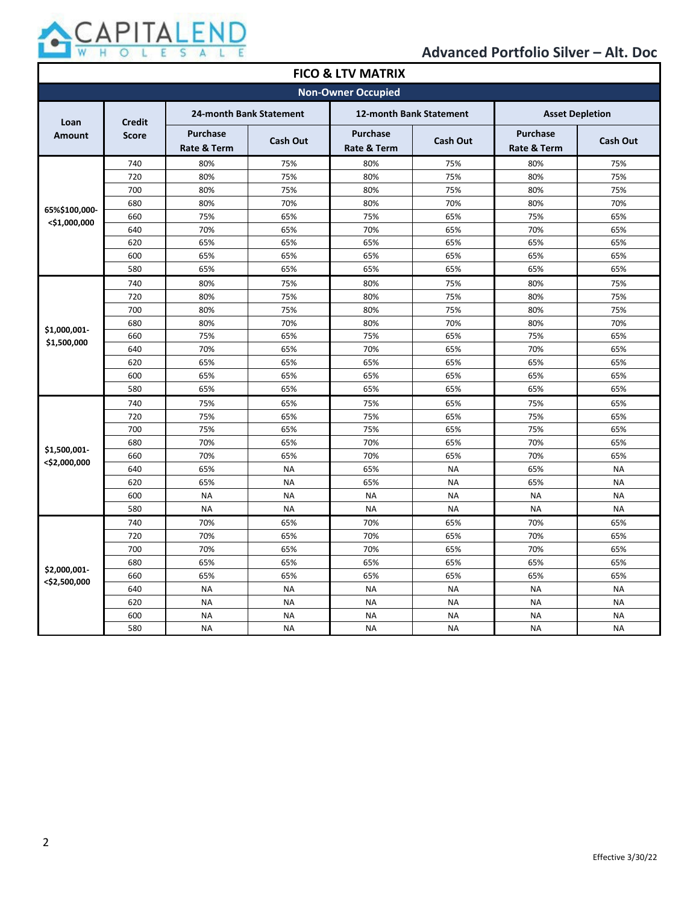

| <b>FICO &amp; LTV MATRIX</b> |                               |                                |                 |                                |           |                                |                 |
|------------------------------|-------------------------------|--------------------------------|-----------------|--------------------------------|-----------|--------------------------------|-----------------|
| <b>Non-Owner Occupied</b>    |                               |                                |                 |                                |           |                                |                 |
| Loan                         | <b>Credit</b><br><b>Score</b> | 24-month Bank Statement        |                 | 12-month Bank Statement        |           | <b>Asset Depletion</b>         |                 |
| <b>Amount</b>                |                               | <b>Purchase</b><br>Rate & Term | <b>Cash Out</b> | <b>Purchase</b><br>Rate & Term | Cash Out  | <b>Purchase</b><br>Rate & Term | <b>Cash Out</b> |
|                              | 740                           | 80%                            | 75%             | 80%                            | 75%       | 80%                            | 75%             |
|                              | 720                           | 80%                            | 75%             | 80%                            | 75%       | 80%                            | 75%             |
|                              | 700                           | 80%                            | 75%             | 80%                            | 75%       | 80%                            | 75%             |
| 65%\$100,000-                | 680                           | 80%                            | 70%             | 80%                            | 70%       | 80%                            | 70%             |
| $<$ \$1,000,000              | 660                           | 75%                            | 65%             | 75%                            | 65%       | 75%                            | 65%             |
|                              | 640                           | 70%                            | 65%             | 70%                            | 65%       | 70%                            | 65%             |
|                              | 620                           | 65%                            | 65%             | 65%                            | 65%       | 65%                            | 65%             |
|                              | 600                           | 65%                            | 65%             | 65%                            | 65%       | 65%                            | 65%             |
|                              | 580                           | 65%                            | 65%             | 65%                            | 65%       | 65%                            | 65%             |
|                              | 740                           | 80%                            | 75%             | 80%                            | 75%       | 80%                            | 75%             |
|                              | 720                           | 80%                            | 75%             | 80%                            | 75%       | 80%                            | 75%             |
|                              | 700                           | 80%                            | 75%             | 80%                            | 75%       | 80%                            | 75%             |
|                              | 680                           | 80%                            | 70%             | 80%                            | 70%       | 80%                            | 70%             |
| \$1,000,001-<br>\$1,500,000  | 660                           | 75%                            | 65%             | 75%                            | 65%       | 75%                            | 65%             |
|                              | 640                           | 70%                            | 65%             | 70%                            | 65%       | 70%                            | 65%             |
|                              | 620                           | 65%                            | 65%             | 65%                            | 65%       | 65%                            | 65%             |
|                              | 600                           | 65%                            | 65%             | 65%                            | 65%       | 65%                            | 65%             |
|                              | 580                           | 65%                            | 65%             | 65%                            | 65%       | 65%                            | 65%             |
|                              | 740                           | 75%                            | 65%             | 75%                            | 65%       | 75%                            | 65%             |
|                              | 720                           | 75%                            | 65%             | 75%                            | 65%       | 75%                            | 65%             |
|                              | 700                           | 75%                            | 65%             | 75%                            | 65%       | 75%                            | 65%             |
|                              | 680                           | 70%                            | 65%             | 70%                            | 65%       | 70%                            | 65%             |
| \$1,500,001-<br><\$2,000,000 | 660                           | 70%                            | 65%             | 70%                            | 65%       | 70%                            | 65%             |
|                              | 640                           | 65%                            | <b>NA</b>       | 65%                            | <b>NA</b> | 65%                            | <b>NA</b>       |
|                              | 620                           | 65%                            | <b>NA</b>       | 65%                            | <b>NA</b> | 65%                            | <b>NA</b>       |
|                              | 600                           | <b>NA</b>                      | <b>NA</b>       | <b>NA</b>                      | <b>NA</b> | <b>NA</b>                      | <b>NA</b>       |
|                              | 580                           | <b>NA</b>                      | <b>NA</b>       | <b>NA</b>                      | <b>NA</b> | <b>NA</b>                      | <b>NA</b>       |
|                              | 740                           | 70%                            | 65%             | 70%                            | 65%       | 70%                            | 65%             |
|                              | 720                           | 70%                            | 65%             | 70%                            | 65%       | 70%                            | 65%             |
|                              | 700                           | 70%                            | 65%             | 70%                            | 65%       | 70%                            | 65%             |
|                              | 680                           | 65%                            | 65%             | 65%                            | 65%       | 65%                            | 65%             |
| \$2,000,001-                 | 660                           | 65%                            | 65%             | 65%                            | 65%       | 65%                            | 65%             |
| <\$2,500,000                 | 640                           | <b>NA</b>                      | <b>NA</b>       | <b>NA</b>                      | <b>NA</b> | <b>NA</b>                      | <b>NA</b>       |
|                              | 620                           | <b>NA</b>                      | <b>NA</b>       | <b>NA</b>                      | <b>NA</b> | <b>NA</b>                      | <b>NA</b>       |
|                              | 600                           | <b>NA</b>                      | <b>NA</b>       | <b>NA</b>                      | <b>NA</b> | <b>NA</b>                      | <b>NA</b>       |
|                              | 580                           | <b>NA</b>                      | <b>NA</b>       | <b>NA</b>                      | <b>NA</b> | <b>NA</b>                      | <b>NA</b>       |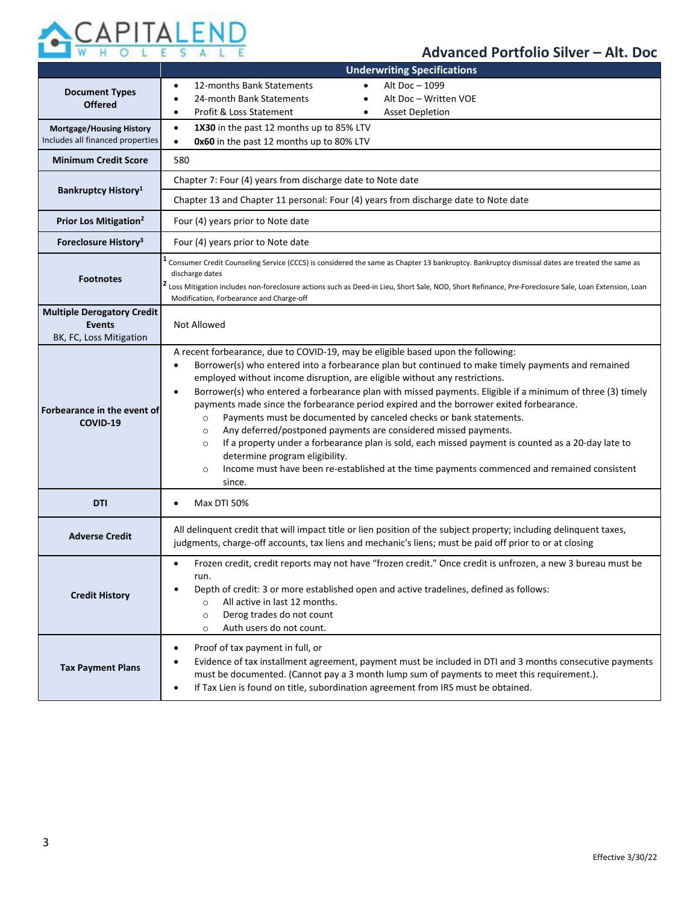

|                                                                               | <b>Underwriting Specifications</b>                                                                                                                                                                                                                                                                                                                                                                                                                                                                                                                                                                                                                                                                                                                                                                                                                                                                                                            |  |  |  |  |
|-------------------------------------------------------------------------------|-----------------------------------------------------------------------------------------------------------------------------------------------------------------------------------------------------------------------------------------------------------------------------------------------------------------------------------------------------------------------------------------------------------------------------------------------------------------------------------------------------------------------------------------------------------------------------------------------------------------------------------------------------------------------------------------------------------------------------------------------------------------------------------------------------------------------------------------------------------------------------------------------------------------------------------------------|--|--|--|--|
| <b>Document Types</b><br><b>Offered</b>                                       | Alt Doc - 1099<br>12-months Bank Statements<br>$\bullet$<br>Alt Doc - Written VOE<br>24-month Bank Statements<br>٠<br>Profit & Loss Statement<br><b>Asset Depletion</b><br>$\bullet$<br>$\bullet$                                                                                                                                                                                                                                                                                                                                                                                                                                                                                                                                                                                                                                                                                                                                             |  |  |  |  |
| <b>Mortgage/Housing History</b><br>Includes all financed properties           | 1X30 in the past 12 months up to 85% LTV<br>$\bullet$<br>0x60 in the past 12 months up to 80% LTV<br>$\bullet$                                                                                                                                                                                                                                                                                                                                                                                                                                                                                                                                                                                                                                                                                                                                                                                                                                |  |  |  |  |
| <b>Minimum Credit Score</b>                                                   | 580                                                                                                                                                                                                                                                                                                                                                                                                                                                                                                                                                                                                                                                                                                                                                                                                                                                                                                                                           |  |  |  |  |
|                                                                               | Chapter 7: Four (4) years from discharge date to Note date                                                                                                                                                                                                                                                                                                                                                                                                                                                                                                                                                                                                                                                                                                                                                                                                                                                                                    |  |  |  |  |
| Bankruptcy History <sup>1</sup>                                               | Chapter 13 and Chapter 11 personal: Four (4) years from discharge date to Note date                                                                                                                                                                                                                                                                                                                                                                                                                                                                                                                                                                                                                                                                                                                                                                                                                                                           |  |  |  |  |
| Prior Los Mitigation <sup>2</sup>                                             | Four (4) years prior to Note date                                                                                                                                                                                                                                                                                                                                                                                                                                                                                                                                                                                                                                                                                                                                                                                                                                                                                                             |  |  |  |  |
| Foreclosure History <sup>3</sup>                                              | Four (4) years prior to Note date                                                                                                                                                                                                                                                                                                                                                                                                                                                                                                                                                                                                                                                                                                                                                                                                                                                                                                             |  |  |  |  |
| <b>Footnotes</b>                                                              | Consumer Credit Counseling Service (CCCS) is considered the same as Chapter 13 bankruptcy. Bankruptcy dismissal dates are treated the same as<br>discharge dates<br><sup>2</sup> Loss Mitigation includes non-foreclosure actions such as Deed-in Lieu, Short Sale, NOD, Short Refinance, Pre-Foreclosure Sale, Loan Extension, Loan<br>Modification, Forbearance and Charge-off                                                                                                                                                                                                                                                                                                                                                                                                                                                                                                                                                              |  |  |  |  |
| <b>Multiple Derogatory Credit</b><br><b>Events</b><br>BK, FC, Loss Mitigation | Not Allowed                                                                                                                                                                                                                                                                                                                                                                                                                                                                                                                                                                                                                                                                                                                                                                                                                                                                                                                                   |  |  |  |  |
| Forbearance in the event of<br>COVID-19                                       | A recent forbearance, due to COVID-19, may be eligible based upon the following:<br>Borrower(s) who entered into a forbearance plan but continued to make timely payments and remained<br>$\bullet$<br>employed without income disruption, are eligible without any restrictions.<br>Borrower(s) who entered a forbearance plan with missed payments. Eligible if a minimum of three (3) timely<br>$\bullet$<br>payments made since the forbearance period expired and the borrower exited forbearance.<br>Payments must be documented by canceled checks or bank statements.<br>$\circ$<br>Any deferred/postponed payments are considered missed payments.<br>$\circ$<br>If a property under a forbearance plan is sold, each missed payment is counted as a 20-day late to<br>$\circ$<br>determine program eligibility.<br>Income must have been re-established at the time payments commenced and remained consistent<br>$\circ$<br>since. |  |  |  |  |
| <b>DTI</b>                                                                    | Max DTI 50%<br>$\bullet$                                                                                                                                                                                                                                                                                                                                                                                                                                                                                                                                                                                                                                                                                                                                                                                                                                                                                                                      |  |  |  |  |
| <b>Adverse Credit</b>                                                         | All delinquent credit that will impact title or lien position of the subject property; including delinquent taxes,<br>judgments, charge-off accounts, tax liens and mechanic's liens; must be paid off prior to or at closing                                                                                                                                                                                                                                                                                                                                                                                                                                                                                                                                                                                                                                                                                                                 |  |  |  |  |
| <b>Credit History</b>                                                         | Frozen credit, credit reports may not have "frozen credit." Once credit is unfrozen, a new 3 bureau must be<br>$\bullet$<br>run.<br>Depth of credit: 3 or more established open and active tradelines, defined as follows:<br>All active in last 12 months.<br>$\circ$<br>Derog trades do not count<br>$\circ$<br>Auth users do not count.<br>$\circ$                                                                                                                                                                                                                                                                                                                                                                                                                                                                                                                                                                                         |  |  |  |  |
| <b>Tax Payment Plans</b>                                                      | Proof of tax payment in full, or<br>$\bullet$<br>Evidence of tax installment agreement, payment must be included in DTI and 3 months consecutive payments<br>$\bullet$<br>must be documented. (Cannot pay a 3 month lump sum of payments to meet this requirement.).<br>If Tax Lien is found on title, subordination agreement from IRS must be obtained.<br>$\bullet$                                                                                                                                                                                                                                                                                                                                                                                                                                                                                                                                                                        |  |  |  |  |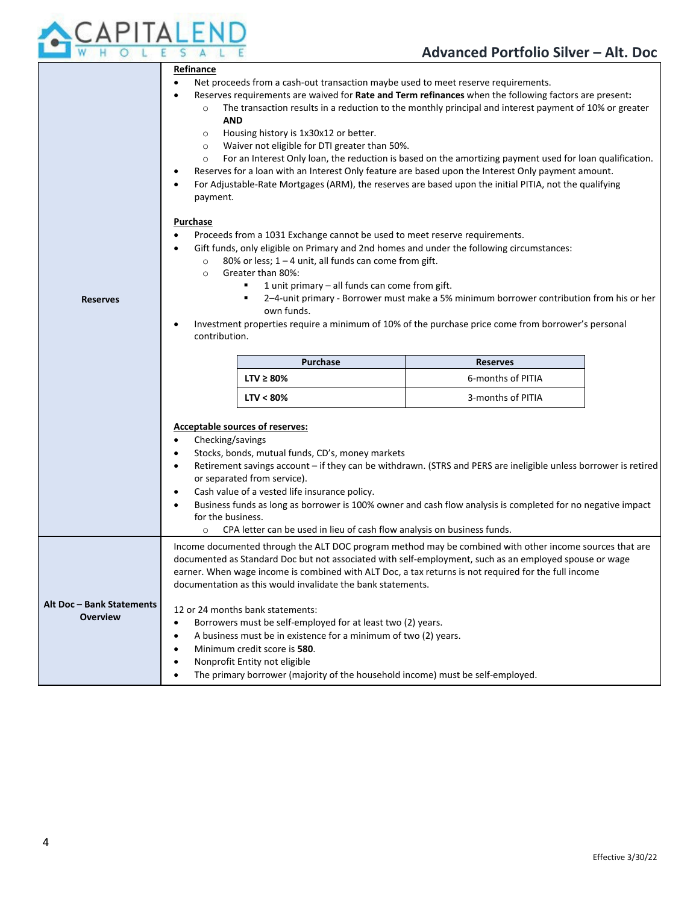

|                           | Refinance                                                                                                                                                                                                                  |                                                                               |                                                                                                                                                                                                                |  |  |
|---------------------------|----------------------------------------------------------------------------------------------------------------------------------------------------------------------------------------------------------------------------|-------------------------------------------------------------------------------|----------------------------------------------------------------------------------------------------------------------------------------------------------------------------------------------------------------|--|--|
|                           | Net proceeds from a cash-out transaction maybe used to meet reserve requirements.<br>$\bullet$                                                                                                                             |                                                                               |                                                                                                                                                                                                                |  |  |
|                           | Reserves requirements are waived for Rate and Term refinances when the following factors are present:<br>The transaction results in a reduction to the monthly principal and interest payment of 10% or greater<br>$\circ$ |                                                                               |                                                                                                                                                                                                                |  |  |
|                           | <b>AND</b>                                                                                                                                                                                                                 |                                                                               |                                                                                                                                                                                                                |  |  |
|                           | $\circ$                                                                                                                                                                                                                    | Housing history is 1x30x12 or better.                                         |                                                                                                                                                                                                                |  |  |
|                           | $\circ$                                                                                                                                                                                                                    | Waiver not eligible for DTI greater than 50%.                                 |                                                                                                                                                                                                                |  |  |
|                           | $\circ$                                                                                                                                                                                                                    |                                                                               | For an Interest Only loan, the reduction is based on the amortizing payment used for loan qualification.<br>Reserves for a loan with an Interest Only feature are based upon the Interest Only payment amount. |  |  |
|                           |                                                                                                                                                                                                                            |                                                                               | For Adjustable-Rate Mortgages (ARM), the reserves are based upon the initial PITIA, not the qualifying                                                                                                         |  |  |
|                           | payment.                                                                                                                                                                                                                   |                                                                               |                                                                                                                                                                                                                |  |  |
|                           | Purchase                                                                                                                                                                                                                   |                                                                               |                                                                                                                                                                                                                |  |  |
|                           | ٠                                                                                                                                                                                                                          | Proceeds from a 1031 Exchange cannot be used to meet reserve requirements.    |                                                                                                                                                                                                                |  |  |
|                           | ٠                                                                                                                                                                                                                          |                                                                               | Gift funds, only eligible on Primary and 2nd homes and under the following circumstances:                                                                                                                      |  |  |
|                           | $\circ$                                                                                                                                                                                                                    | 80% or less; $1 - 4$ unit, all funds can come from gift.<br>Greater than 80%: |                                                                                                                                                                                                                |  |  |
|                           | $\circ$                                                                                                                                                                                                                    | 1 unit primary - all funds can come from gift.                                |                                                                                                                                                                                                                |  |  |
| <b>Reserves</b>           |                                                                                                                                                                                                                            |                                                                               | 2-4-unit primary - Borrower must make a 5% minimum borrower contribution from his or her                                                                                                                       |  |  |
|                           |                                                                                                                                                                                                                            | own funds.                                                                    |                                                                                                                                                                                                                |  |  |
|                           | ٠<br>contribution.                                                                                                                                                                                                         |                                                                               | Investment properties require a minimum of 10% of the purchase price come from borrower's personal                                                                                                             |  |  |
|                           |                                                                                                                                                                                                                            |                                                                               |                                                                                                                                                                                                                |  |  |
|                           |                                                                                                                                                                                                                            | <b>Purchase</b>                                                               | <b>Reserves</b>                                                                                                                                                                                                |  |  |
|                           |                                                                                                                                                                                                                            | $LTV \geq 80\%$                                                               | 6-months of PITIA                                                                                                                                                                                              |  |  |
|                           |                                                                                                                                                                                                                            | $LTV < 80\%$                                                                  | 3-months of PITIA                                                                                                                                                                                              |  |  |
|                           |                                                                                                                                                                                                                            |                                                                               |                                                                                                                                                                                                                |  |  |
|                           |                                                                                                                                                                                                                            | <b>Acceptable sources of reserves:</b>                                        |                                                                                                                                                                                                                |  |  |
|                           | Checking/savings<br>$\bullet$<br>Stocks, bonds, mutual funds, CD's, money markets<br>$\bullet$                                                                                                                             |                                                                               |                                                                                                                                                                                                                |  |  |
|                           | Retirement savings account - if they can be withdrawn. (STRS and PERS are ineligible unless borrower is retired<br>$\bullet$                                                                                               |                                                                               |                                                                                                                                                                                                                |  |  |
|                           | or separated from service).                                                                                                                                                                                                |                                                                               |                                                                                                                                                                                                                |  |  |
|                           | Cash value of a vested life insurance policy.<br>$\bullet$                                                                                                                                                                 |                                                                               |                                                                                                                                                                                                                |  |  |
|                           | Business funds as long as borrower is 100% owner and cash flow analysis is completed for no negative impact<br>for the business.                                                                                           |                                                                               |                                                                                                                                                                                                                |  |  |
|                           | CPA letter can be used in lieu of cash flow analysis on business funds.<br>$\circ$                                                                                                                                         |                                                                               |                                                                                                                                                                                                                |  |  |
|                           |                                                                                                                                                                                                                            |                                                                               | Income documented through the ALT DOC program method may be combined with other income sources that are                                                                                                        |  |  |
|                           | documented as Standard Doc but not associated with self-employment, such as an employed spouse or wage                                                                                                                     |                                                                               |                                                                                                                                                                                                                |  |  |
|                           |                                                                                                                                                                                                                            |                                                                               |                                                                                                                                                                                                                |  |  |
|                           |                                                                                                                                                                                                                            |                                                                               | earner. When wage income is combined with ALT Doc, a tax returns is not required for the full income                                                                                                           |  |  |
|                           |                                                                                                                                                                                                                            | documentation as this would invalidate the bank statements.                   |                                                                                                                                                                                                                |  |  |
| Alt Doc - Bank Statements |                                                                                                                                                                                                                            | 12 or 24 months bank statements:                                              |                                                                                                                                                                                                                |  |  |
| <b>Overview</b>           | $\bullet$                                                                                                                                                                                                                  | Borrowers must be self-employed for at least two (2) years.                   |                                                                                                                                                                                                                |  |  |
|                           | $\bullet$                                                                                                                                                                                                                  | A business must be in existence for a minimum of two (2) years.               |                                                                                                                                                                                                                |  |  |
|                           | $\bullet$                                                                                                                                                                                                                  | Minimum credit score is 580.<br>Nonprofit Entity not eligible                 |                                                                                                                                                                                                                |  |  |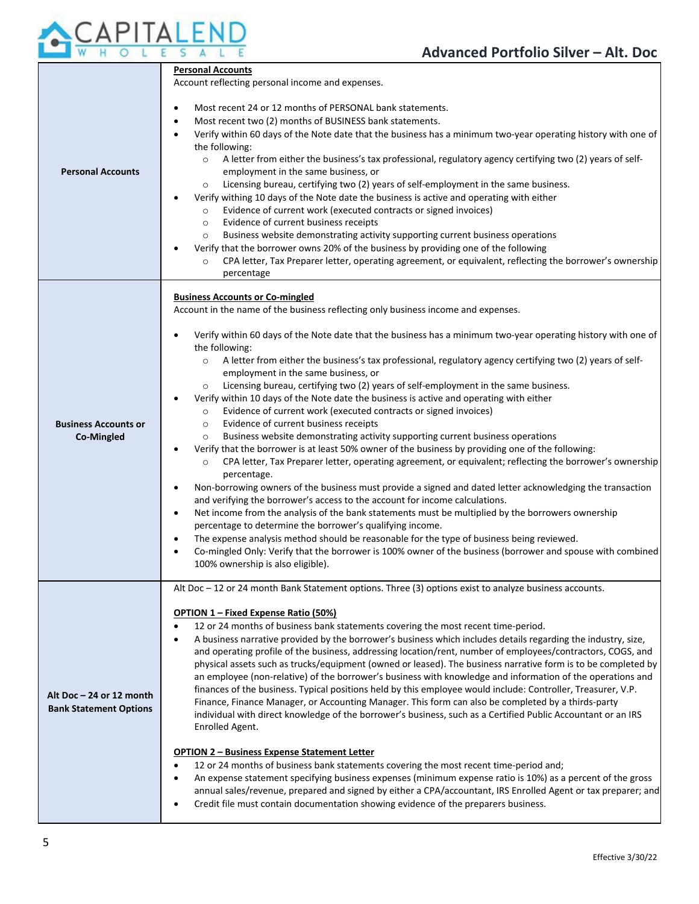

| <b>Personal Accounts</b>                                | <b>Personal Accounts</b><br>Account reflecting personal income and expenses.<br>Most recent 24 or 12 months of PERSONAL bank statements.<br>Most recent two (2) months of BUSINESS bank statements.<br>Verify within 60 days of the Note date that the business has a minimum two-year operating history with one of<br>the following:<br>A letter from either the business's tax professional, regulatory agency certifying two (2) years of self-<br>$\circ$<br>employment in the same business, or<br>Licensing bureau, certifying two (2) years of self-employment in the same business.<br>$\circ$<br>Verify withing 10 days of the Note date the business is active and operating with either<br>Evidence of current work (executed contracts or signed invoices)<br>$\circ$<br>Evidence of current business receipts<br>$\circ$<br>Business website demonstrating activity supporting current business operations<br>$\circ$<br>Verify that the borrower owns 20% of the business by providing one of the following<br>CPA letter, Tax Preparer letter, operating agreement, or equivalent, reflecting the borrower's ownership<br>$\circ$<br>percentage                                                                                                                                                                                                                                                                                                                                                                                                                                                                                                                                                                  |
|---------------------------------------------------------|----------------------------------------------------------------------------------------------------------------------------------------------------------------------------------------------------------------------------------------------------------------------------------------------------------------------------------------------------------------------------------------------------------------------------------------------------------------------------------------------------------------------------------------------------------------------------------------------------------------------------------------------------------------------------------------------------------------------------------------------------------------------------------------------------------------------------------------------------------------------------------------------------------------------------------------------------------------------------------------------------------------------------------------------------------------------------------------------------------------------------------------------------------------------------------------------------------------------------------------------------------------------------------------------------------------------------------------------------------------------------------------------------------------------------------------------------------------------------------------------------------------------------------------------------------------------------------------------------------------------------------------------------------------------------------------------------------------------------------|
| <b>Business Accounts or</b><br>Co-Mingled               | <b>Business Accounts or Co-mingled</b><br>Account in the name of the business reflecting only business income and expenses.<br>Verify within 60 days of the Note date that the business has a minimum two-year operating history with one of<br>the following:<br>A letter from either the business's tax professional, regulatory agency certifying two (2) years of self-<br>$\circ$<br>employment in the same business, or<br>Licensing bureau, certifying two (2) years of self-employment in the same business.<br>$\circ$<br>Verify within 10 days of the Note date the business is active and operating with either<br>Evidence of current work (executed contracts or signed invoices)<br>$\circ$<br>Evidence of current business receipts<br>$\circ$<br>Business website demonstrating activity supporting current business operations<br>$\circ$<br>Verify that the borrower is at least 50% owner of the business by providing one of the following:<br>CPA letter, Tax Preparer letter, operating agreement, or equivalent; reflecting the borrower's ownership<br>$\circ$<br>percentage.<br>Non-borrowing owners of the business must provide a signed and dated letter acknowledging the transaction<br>and verifying the borrower's access to the account for income calculations.<br>Net income from the analysis of the bank statements must be multiplied by the borrowers ownership<br>$\bullet$<br>percentage to determine the borrower's qualifying income.<br>The expense analysis method should be reasonable for the type of business being reviewed.<br>Co-mingled Only: Verify that the borrower is 100% owner of the business (borrower and spouse with combined<br>100% ownership is also eligible). |
| Alt Doc-24 or 12 month<br><b>Bank Statement Options</b> | Alt Doc - 12 or 24 month Bank Statement options. Three (3) options exist to analyze business accounts.<br>OPTION 1 - Fixed Expense Ratio (50%)<br>12 or 24 months of business bank statements covering the most recent time-period.<br>A business narrative provided by the borrower's business which includes details regarding the industry, size,<br>and operating profile of the business, addressing location/rent, number of employees/contractors, COGS, and<br>physical assets such as trucks/equipment (owned or leased). The business narrative form is to be completed by<br>an employee (non-relative) of the borrower's business with knowledge and information of the operations and<br>finances of the business. Typical positions held by this employee would include: Controller, Treasurer, V.P.<br>Finance, Finance Manager, or Accounting Manager. This form can also be completed by a thirds-party<br>individual with direct knowledge of the borrower's business, such as a Certified Public Accountant or an IRS<br>Enrolled Agent.<br><b>OPTION 2 - Business Expense Statement Letter</b><br>12 or 24 months of business bank statements covering the most recent time-period and;<br>An expense statement specifying business expenses (minimum expense ratio is 10%) as a percent of the gross<br>annual sales/revenue, prepared and signed by either a CPA/accountant, IRS Enrolled Agent or tax preparer; and<br>Credit file must contain documentation showing evidence of the preparers business.                                                                                                                                                                                                 |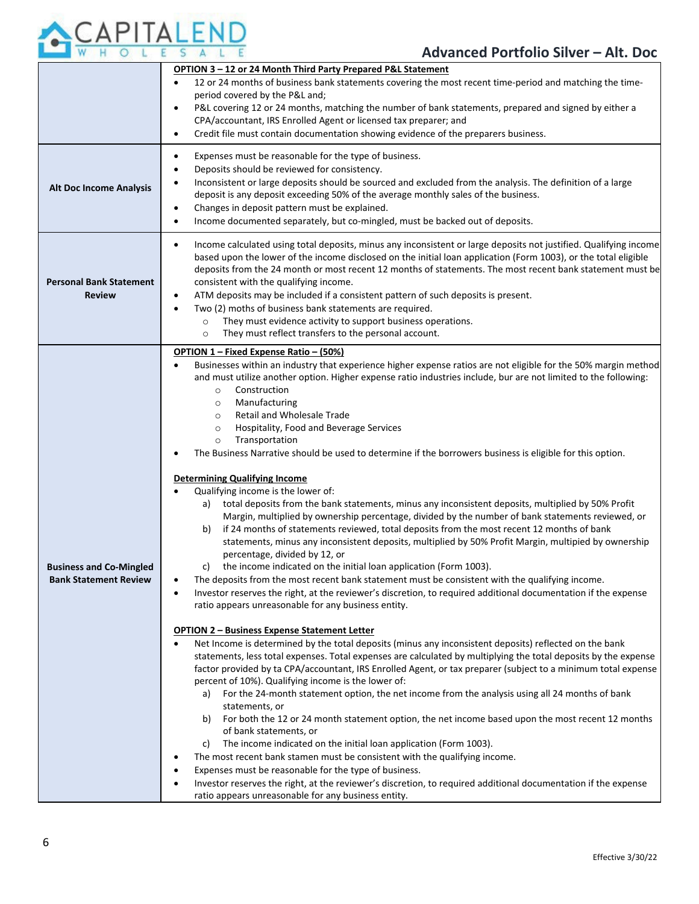

|                                                                | OPTION 3 - 12 or 24 Month Third Party Prepared P&L Statement<br>12 or 24 months of business bank statements covering the most recent time-period and matching the time-<br>$\bullet$<br>period covered by the P&L and;<br>P&L covering 12 or 24 months, matching the number of bank statements, prepared and signed by either a<br>$\bullet$<br>CPA/accountant, IRS Enrolled Agent or licensed tax preparer; and<br>Credit file must contain documentation showing evidence of the preparers business.<br>$\bullet$                                                                                                                                                                                                                                                                                                                                                                                                                                                                                                                                                                                                                                                                                                                                                                                                                                                                                                                                                                                                                                                                                                                                                                                                                                                                                                                                                                                                                                                                                                                                                                                                                                                                                                                                                                                                                                                                                            |
|----------------------------------------------------------------|----------------------------------------------------------------------------------------------------------------------------------------------------------------------------------------------------------------------------------------------------------------------------------------------------------------------------------------------------------------------------------------------------------------------------------------------------------------------------------------------------------------------------------------------------------------------------------------------------------------------------------------------------------------------------------------------------------------------------------------------------------------------------------------------------------------------------------------------------------------------------------------------------------------------------------------------------------------------------------------------------------------------------------------------------------------------------------------------------------------------------------------------------------------------------------------------------------------------------------------------------------------------------------------------------------------------------------------------------------------------------------------------------------------------------------------------------------------------------------------------------------------------------------------------------------------------------------------------------------------------------------------------------------------------------------------------------------------------------------------------------------------------------------------------------------------------------------------------------------------------------------------------------------------------------------------------------------------------------------------------------------------------------------------------------------------------------------------------------------------------------------------------------------------------------------------------------------------------------------------------------------------------------------------------------------------------------------------------------------------------------------------------------------------|
| <b>Alt Doc Income Analysis</b>                                 | Expenses must be reasonable for the type of business.<br>$\bullet$<br>Deposits should be reviewed for consistency.<br>$\bullet$<br>Inconsistent or large deposits should be sourced and excluded from the analysis. The definition of a large<br>٠<br>deposit is any deposit exceeding 50% of the average monthly sales of the business.<br>Changes in deposit pattern must be explained.<br>$\bullet$<br>Income documented separately, but co-mingled, must be backed out of deposits.<br>$\bullet$                                                                                                                                                                                                                                                                                                                                                                                                                                                                                                                                                                                                                                                                                                                                                                                                                                                                                                                                                                                                                                                                                                                                                                                                                                                                                                                                                                                                                                                                                                                                                                                                                                                                                                                                                                                                                                                                                                           |
| <b>Personal Bank Statement</b><br><b>Review</b>                | Income calculated using total deposits, minus any inconsistent or large deposits not justified. Qualifying income<br>$\bullet$<br>based upon the lower of the income disclosed on the initial loan application (Form 1003), or the total eligible<br>deposits from the 24 month or most recent 12 months of statements. The most recent bank statement must be<br>consistent with the qualifying income.<br>ATM deposits may be included if a consistent pattern of such deposits is present.<br>$\bullet$<br>Two (2) moths of business bank statements are required.<br>$\bullet$<br>They must evidence activity to support business operations.<br>$\circ$<br>They must reflect transfers to the personal account.<br>$\circ$                                                                                                                                                                                                                                                                                                                                                                                                                                                                                                                                                                                                                                                                                                                                                                                                                                                                                                                                                                                                                                                                                                                                                                                                                                                                                                                                                                                                                                                                                                                                                                                                                                                                                |
| <b>Business and Co-Mingled</b><br><b>Bank Statement Review</b> | OPTION 1 - Fixed Expense Ratio - (50%)<br>Businesses within an industry that experience higher expense ratios are not eligible for the 50% margin method<br>$\bullet$<br>and must utilize another option. Higher expense ratio industries include, bur are not limited to the following:<br>Construction<br>$\circ$<br>Manufacturing<br>$\circ$<br>Retail and Wholesale Trade<br>$\circ$<br>Hospitality, Food and Beverage Services<br>$\circ$<br>Transportation<br>$\circ$<br>The Business Narrative should be used to determine if the borrowers business is eligible for this option.<br>٠<br><b>Determining Qualifying Income</b><br>Qualifying income is the lower of:<br>a) total deposits from the bank statements, minus any inconsistent deposits, multiplied by 50% Profit<br>Margin, multiplied by ownership percentage, divided by the number of bank statements reviewed, or<br>if 24 months of statements reviewed, total deposits from the most recent 12 months of bank<br>b)<br>statements, minus any inconsistent deposits, multiplied by 50% Profit Margin, multipied by ownership<br>percentage, divided by 12, or<br>the income indicated on the initial loan application (Form 1003).<br>C)<br>The deposits from the most recent bank statement must be consistent with the qualifying income.<br>Investor reserves the right, at the reviewer's discretion, to required additional documentation if the expense<br>$\bullet$<br>ratio appears unreasonable for any business entity.<br><b>OPTION 2 - Business Expense Statement Letter</b><br>Net Income is determined by the total deposits (minus any inconsistent deposits) reflected on the bank<br>$\bullet$<br>statements, less total expenses. Total expenses are calculated by multiplying the total deposits by the expense<br>factor provided by ta CPA/accountant, IRS Enrolled Agent, or tax preparer (subject to a minimum total expense<br>percent of 10%). Qualifying income is the lower of:<br>a) For the 24-month statement option, the net income from the analysis using all 24 months of bank<br>statements, or<br>For both the 12 or 24 month statement option, the net income based upon the most recent 12 months<br>b)<br>of bank statements, or<br>The income indicated on the initial loan application (Form 1003).<br>C)<br>The most recent bank stamen must be consistent with the qualifying income.<br>٠ |
|                                                                | Expenses must be reasonable for the type of business.<br>Investor reserves the right, at the reviewer's discretion, to required additional documentation if the expense<br>ratio appears unreasonable for any business entity.                                                                                                                                                                                                                                                                                                                                                                                                                                                                                                                                                                                                                                                                                                                                                                                                                                                                                                                                                                                                                                                                                                                                                                                                                                                                                                                                                                                                                                                                                                                                                                                                                                                                                                                                                                                                                                                                                                                                                                                                                                                                                                                                                                                 |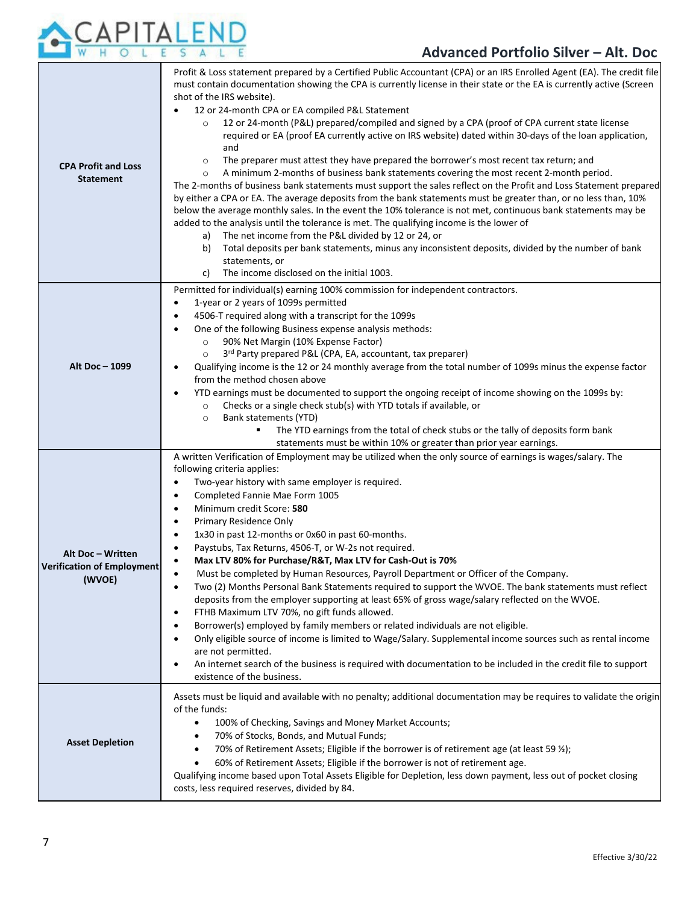

| <b>CPA Profit and Loss</b><br><b>Statement</b>                   | Profit & Loss statement prepared by a Certified Public Accountant (CPA) or an IRS Enrolled Agent (EA). The credit file<br>must contain documentation showing the CPA is currently license in their state or the EA is currently active (Screen<br>shot of the IRS website).<br>12 or 24-month CPA or EA compiled P&L Statement<br>12 or 24-month (P&L) prepared/compiled and signed by a CPA (proof of CPA current state license<br>$\circ$<br>required or EA (proof EA currently active on IRS website) dated within 30-days of the loan application,<br>and<br>The preparer must attest they have prepared the borrower's most recent tax return; and<br>$\circ$<br>A minimum 2-months of business bank statements covering the most recent 2-month period.<br>$\circ$<br>The 2-months of business bank statements must support the sales reflect on the Profit and Loss Statement prepared<br>by either a CPA or EA. The average deposits from the bank statements must be greater than, or no less than, 10%<br>below the average monthly sales. In the event the 10% tolerance is not met, continuous bank statements may be<br>added to the analysis until the tolerance is met. The qualifying income is the lower of<br>The net income from the P&L divided by 12 or 24, or<br>a)<br>Total deposits per bank statements, minus any inconsistent deposits, divided by the number of bank<br>b)<br>statements, or<br>The income disclosed on the initial 1003.<br>C) |
|------------------------------------------------------------------|----------------------------------------------------------------------------------------------------------------------------------------------------------------------------------------------------------------------------------------------------------------------------------------------------------------------------------------------------------------------------------------------------------------------------------------------------------------------------------------------------------------------------------------------------------------------------------------------------------------------------------------------------------------------------------------------------------------------------------------------------------------------------------------------------------------------------------------------------------------------------------------------------------------------------------------------------------------------------------------------------------------------------------------------------------------------------------------------------------------------------------------------------------------------------------------------------------------------------------------------------------------------------------------------------------------------------------------------------------------------------------------------------------------------------------------------------------------------------|
| Alt Doc - 1099                                                   | Permitted for individual(s) earning 100% commission for independent contractors.<br>1-year or 2 years of 1099s permitted<br>$\bullet$<br>4506-T required along with a transcript for the 1099s<br>$\bullet$<br>One of the following Business expense analysis methods:<br>$\bullet$<br>90% Net Margin (10% Expense Factor)<br>$\circ$<br>3 <sup>rd</sup> Party prepared P&L (CPA, EA, accountant, tax preparer)<br>$\circ$<br>Qualifying income is the 12 or 24 monthly average from the total number of 1099s minus the expense factor<br>$\bullet$<br>from the method chosen above<br>YTD earnings must be documented to support the ongoing receipt of income showing on the 1099s by:<br>$\bullet$<br>Checks or a single check stub(s) with YTD totals if available, or<br>$\circ$<br>Bank statements (YTD)<br>$\circ$<br>The YTD earnings from the total of check stubs or the tally of deposits form bank<br>statements must be within 10% or greater than prior year earnings.                                                                                                                                                                                                                                                                                                                                                                                                                                                                                      |
| Alt Doc - Written<br><b>Verification of Employment</b><br>(WVOE) | A written Verification of Employment may be utilized when the only source of earnings is wages/salary. The<br>following criteria applies:<br>Two-year history with same employer is required.<br>$\bullet$<br>Completed Fannie Mae Form 1005<br>$\bullet$<br>Minimum credit Score: 580<br>$\bullet$<br>Primary Residence Only<br>$\bullet$<br>1x30 in past 12-months or 0x60 in past 60-months.<br>$\bullet$<br>Paystubs, Tax Returns, 4506-T, or W-2s not required.<br>$\bullet$<br>Max LTV 80% for Purchase/R&T, Max LTV for Cash-Out is 70%<br>Must be completed by Human Resources, Payroll Department or Officer of the Company.<br>$\bullet$<br>Two (2) Months Personal Bank Statements required to support the WVOE. The bank statements must reflect<br>$\bullet$<br>deposits from the employer supporting at least 65% of gross wage/salary reflected on the WVOE.<br>FTHB Maximum LTV 70%, no gift funds allowed.<br>$\bullet$<br>Borrower(s) employed by family members or related individuals are not eligible.<br>$\bullet$<br>Only eligible source of income is limited to Wage/Salary. Supplemental income sources such as rental income<br>$\bullet$<br>are not permitted.<br>An internet search of the business is required with documentation to be included in the credit file to support<br>٠<br>existence of the business.                                                                                                                            |
| <b>Asset Depletion</b>                                           | Assets must be liquid and available with no penalty; additional documentation may be requires to validate the origin<br>of the funds:<br>100% of Checking, Savings and Money Market Accounts;<br>$\bullet$<br>70% of Stocks, Bonds, and Mutual Funds;<br>70% of Retirement Assets; Eligible if the borrower is of retirement age (at least 59 %);<br>$\bullet$<br>60% of Retirement Assets; Eligible if the borrower is not of retirement age.<br>$\bullet$<br>Qualifying income based upon Total Assets Eligible for Depletion, less down payment, less out of pocket closing<br>costs, less required reserves, divided by 84.                                                                                                                                                                                                                                                                                                                                                                                                                                                                                                                                                                                                                                                                                                                                                                                                                                            |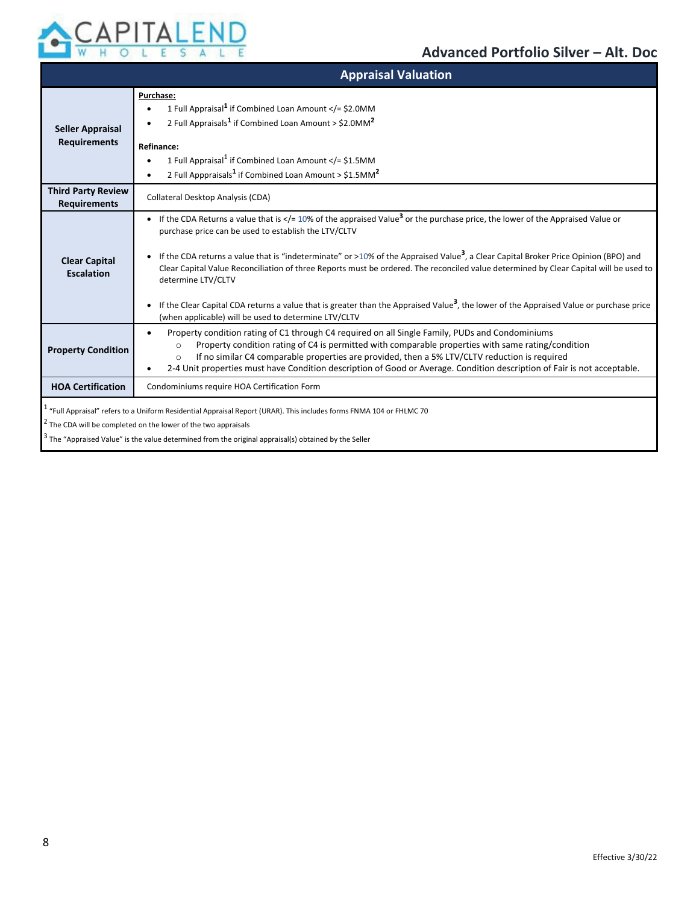

|                                                  | <b>Appraisal Valuation</b>                                                                                                                                                                                                                                                                                                                                                                                                                                                                                                                                                                                                                                                                                                  |
|--------------------------------------------------|-----------------------------------------------------------------------------------------------------------------------------------------------------------------------------------------------------------------------------------------------------------------------------------------------------------------------------------------------------------------------------------------------------------------------------------------------------------------------------------------------------------------------------------------------------------------------------------------------------------------------------------------------------------------------------------------------------------------------------|
| <b>Seller Appraisal</b><br><b>Requirements</b>   | Purchase:<br>1 Full Appraisal <sup>1</sup> if Combined Loan Amount = \$2.0MM<br 2 Full Appraisals <sup>1</sup> if Combined Loan Amount > \$2.0MM <sup>2</sup><br>Refinance:<br>1 Full Appraisal <sup>1</sup> if Combined Loan Amount < $/$ = \$1.5MM<br>2 Full Apppraisals <sup>1</sup> if Combined Loan Amount > \$1.5MM <sup>2</sup>                                                                                                                                                                                                                                                                                                                                                                                      |
| <b>Third Party Review</b><br><b>Requirements</b> | Collateral Desktop Analysis (CDA)                                                                                                                                                                                                                                                                                                                                                                                                                                                                                                                                                                                                                                                                                           |
| <b>Clear Capital</b><br><b>Escalation</b>        | • If the CDA Returns a value that is = 10% of the appraised Value<sup 3 or the purchase price, the lower of the Appraised Value or<br>purchase price can be used to establish the LTV/CLTV<br>If the CDA returns a value that is "indeterminate" or >10% of the Appraised Value <sup>3</sup> , a Clear Capital Broker Price Opinion (BPO) and<br>Clear Capital Value Reconciliation of three Reports must be ordered. The reconciled value determined by Clear Capital will be used to<br>determine LTV/CLTV<br>If the Clear Capital CDA returns a value that is greater than the Appraised Value <sup>3</sup> , the lower of the Appraised Value or purchase price<br>(when applicable) will be used to determine LTV/CLTV |
| <b>Property Condition</b>                        | Property condition rating of C1 through C4 required on all Single Family, PUDs and Condominiums<br>٠<br>Property condition rating of C4 is permitted with comparable properties with same rating/condition<br>$\circ$<br>If no similar C4 comparable properties are provided, then a 5% LTV/CLTV reduction is required<br>$\Omega$<br>2-4 Unit properties must have Condition description of Good or Average. Condition description of Fair is not acceptable.                                                                                                                                                                                                                                                              |
| <b>HOA Certification</b>                         | Condominiums require HOA Certification Form                                                                                                                                                                                                                                                                                                                                                                                                                                                                                                                                                                                                                                                                                 |
|                                                  | <sup>1</sup> "Full Appraisal" refers to a Uniform Residential Appraisal Report (URAR). This includes forms FNMA 104 or FHLMC 70<br><sup>2</sup> The CDA will be completed on the lower of the two appraisals<br>$3$ The "Appraised Value" is the value determined from the original appraisal(s) obtained by the Seller                                                                                                                                                                                                                                                                                                                                                                                                     |